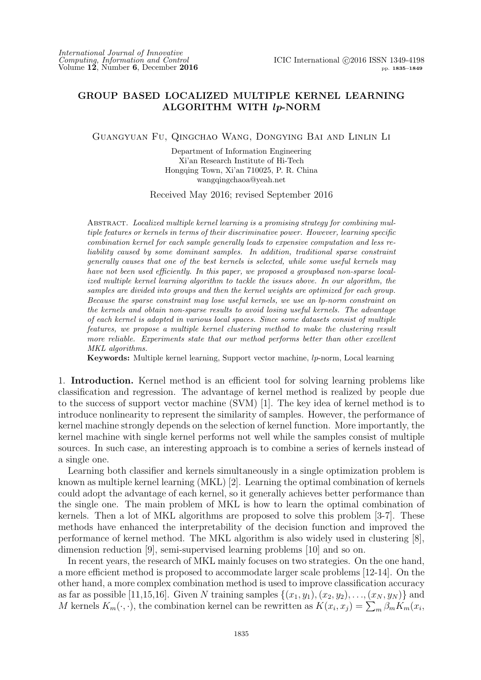## **GROUP BASED LOCALIZED MULTIPLE KERNEL LEARNING ALGORITHM WITH** *lp***-NORM**

Guangyuan Fu, Qingchao Wang, Dongying Bai and Linlin Li

Department of Information Engineering Xi'an Research Institute of Hi-Tech Hongqing Town, Xi'an 710025, P. R. China wangqingchaoa@yeah.net

Received May 2016; revised September 2016

Abstract. *Localized multiple kernel learning is a promising strategy for combining multiple features or kernels in terms of their discriminative power. However, learning specific combination kernel for each sample generally leads to expensive computation and less reliability caused by some dominant samples. In addition, traditional sparse constraint generally causes that one of the best kernels is selected, while some useful kernels may have not been used efficiently. In this paper, we proposed a groupbased non-sparse localized multiple kernel learning algorithm to tackle the issues above. In our algorithm, the samples are divided into groups and then the kernel weights are optimized for each group. Because the sparse constraint may lose useful kernels, we use an lp-norm constraint on the kernels and obtain non-sparse results to avoid losing useful kernels. The advantage of each kernel is adopted in various local spaces. Since some datasets consist of multiple features, we propose a multiple kernel clustering method to make the clustering result more reliable. Experiments state that our method performs better than other excellent MKL algorithms.*

**Keywords:** Multiple kernel learning, Support vector machine, *lp*-norm, Local learning

1. **Introduction.** Kernel method is an efficient tool for solving learning problems like classification and regression. The advantage of kernel method is realized by people due to the success of support vector machine (SVM) [1]. The key idea of kernel method is to introduce nonlinearity to represent the similarity of samples. However, the performance of kernel machine strongly depends on the selection of kernel function. More importantly, the kernel machine with single kernel performs not well while the samples consist of multiple sources. In such case, an interesting approach is to combine a series of kernels instead of a single one.

Learning both classifier and kernels simultaneously in a single optimization problem is known as multiple kernel learning (MKL) [2]. Learning the optimal combination of kernels could adopt the advantage of each kernel, so it generally achieves better performance than the single one. The main problem of MKL is how to learn the optimal combination of kernels. Then a lot of MKL algorithms are proposed to solve this problem [3-7]. These methods have enhanced the interpretability of the decision function and improved the performance of kernel method. The MKL algorithm is also widely used in clustering [8], dimension reduction [9], semi-supervised learning problems [10] and so on.

In recent years, the research of MKL mainly focuses on two strategies. On the one hand, a more efficient method is proposed to accommodate larger scale problems [12-14]. On the other hand, a more complex combination method is used to improve classification accuracy as far as possible [11,15,16]. Given *N* training samples  $\{(x_1,y_1), (x_2,y_2), \ldots, (x_N,y_N)\}$  and *M* kernels  $K_m(\cdot, \cdot)$ , the combination kernel can be rewritten as  $K(x_i, x_j) = \sum_m \beta_m K_m(x_i, x_j)$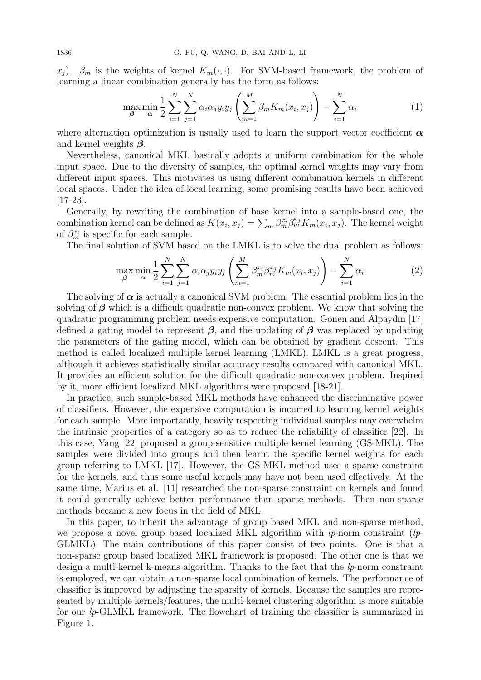*x*<sub>*j*</sub>).  $\beta_m$  is the weights of kernel  $K_m(\cdot, \cdot)$ . For SVM-based framework, the problem of learning a linear combination generally has the form as follows:

$$
\max_{\beta} \min_{\alpha} \frac{1}{2} \sum_{i=1}^{N} \sum_{j=1}^{N} \alpha_i \alpha_j y_i y_j \left( \sum_{m=1}^{M} \beta_m K_m(x_i, x_j) \right) - \sum_{i=1}^{N} \alpha_i \tag{1}
$$

where alternation optimization is usually used to learn the support vector coefficient  $\alpha$ and kernel weights *β*.

Nevertheless, canonical MKL basically adopts a uniform combination for the whole input space. Due to the diversity of samples, the optimal kernel weights may vary from different input spaces. This motivates us using different combination kernels in different local spaces. Under the idea of local learning, some promising results have been achieved [17-23].

Generally, by rewriting the combination of base kernel into a sample-based one, the combination kernel can be defined as  $K(x_i, x_j) = \sum_m \beta_m^{x_i} \beta_m^{x_j} K_m(x_i, x_j)$ . The kernel weight of  $\beta_m^{x_i}$  is specific for each sample.

The final solution of SVM based on the LMKL is to solve the dual problem as follows:

$$
\max_{\beta} \min_{\alpha} \frac{1}{2} \sum_{i=1}^{N} \sum_{j=1}^{N} \alpha_i \alpha_j y_i y_j \left( \sum_{m=1}^{M} \beta_m^{x_i} \beta_m^{x_j} K_m(x_i, x_j) \right) - \sum_{i=1}^{N} \alpha_i \tag{2}
$$

The solving of  $\alpha$  is actually a canonical SVM problem. The essential problem lies in the solving of  $\beta$  which is a difficult quadratic non-convex problem. We know that solving the quadratic programming problem needs expensive computation. Gonen and Alpaydin [17] defined a gating model to represent *β*, and the updating of *β* was replaced by updating the parameters of the gating model, which can be obtained by gradient descent. This method is called localized multiple kernel learning (LMKL). LMKL is a great progress, although it achieves statistically similar accuracy results compared with canonical MKL. It provides an efficient solution for the difficult quadratic non-convex problem. Inspired by it, more efficient localized MKL algorithms were proposed [18-21].

In practice, such sample-based MKL methods have enhanced the discriminative power of classifiers. However, the expensive computation is incurred to learning kernel weights for each sample. More importantly, heavily respecting individual samples may overwhelm the intrinsic properties of a category so as to reduce the reliability of classifier [22]. In this case, Yang [22] proposed a group-sensitive multiple kernel learning (GS-MKL). The samples were divided into groups and then learnt the specific kernel weights for each group referring to LMKL [17]. However, the GS-MKL method uses a sparse constraint for the kernels, and thus some useful kernels may have not been used effectively. At the same time, Marius et al. [11] researched the non-sparse constraint on kernels and found it could generally achieve better performance than sparse methods. Then non-sparse methods became a new focus in the field of MKL.

In this paper, to inherit the advantage of group based MKL and non-sparse method, we propose a novel group based localized MKL algorithm with *lp*-norm constraint (*lp*-GLMKL). The main contributions of this paper consist of two points. One is that a non-sparse group based localized MKL framework is proposed. The other one is that we design a multi-kernel k-means algorithm. Thanks to the fact that the *lp*-norm constraint is employed, we can obtain a non-sparse local combination of kernels. The performance of classifier is improved by adjusting the sparsity of kernels. Because the samples are represented by multiple kernels/features, the multi-kernel clustering algorithm is more suitable for our *lp*-GLMKL framework. The flowchart of training the classifier is summarized in Figure 1.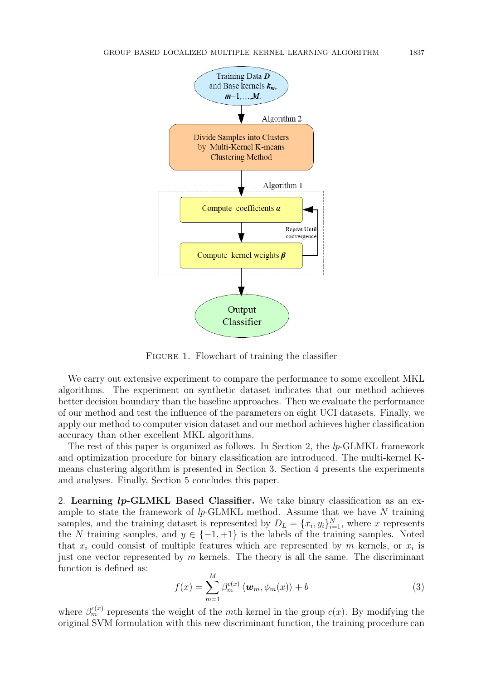

FIGURE 1. Flowchart of training the classifier

We carry out extensive experiment to compare the performance to some excellent MKL algorithms. The experiment on synthetic dataset indicates that our method achieves better decision boundary than the baseline approaches. Then we evaluate the performance of our method and test the influence of the parameters on eight UCI datasets. Finally, we apply our method to computer vision dataset and our method achieves higher classification accuracy than other excellent MKL algorithms.

The rest of this paper is organized as follows. In Section 2, the *lp*-GLMKL framework and optimization procedure for binary classification are introduced. The multi-kernel Kmeans clustering algorithm is presented in Section 3. Section 4 presents the experiments and analyses. Finally, Section 5 concludes this paper.

2. **Learning** *lp***-GLMKL Based Classifier.** We take binary classification as an example to state the framework of *lp*-GLMKL method. Assume that we have *N* training samples, and the training dataset is represented by  $D_L = \{x_i, y_i\}_{i=1}^N$ , where *x* represents the *N* training samples, and  $y \in \{-1, +1\}$  is the labels of the training samples. Noted that  $x_i$  could consist of multiple features which are represented by  $m$  kernels, or  $x_i$  is just one vector represented by *m* kernels. The theory is all the same. The discriminant function is defined as:

$$
f(x) = \sum_{m=1}^{M} \beta_m^{c(x)} \langle \boldsymbol{w}_m, \phi_m(x) \rangle + b \tag{3}
$$

where  $\beta_m^{c(x)}$  represents the weight of the *m*th kernel in the group  $c(x)$ . By modifying the original SVM formulation with this new discriminant function, the training procedure can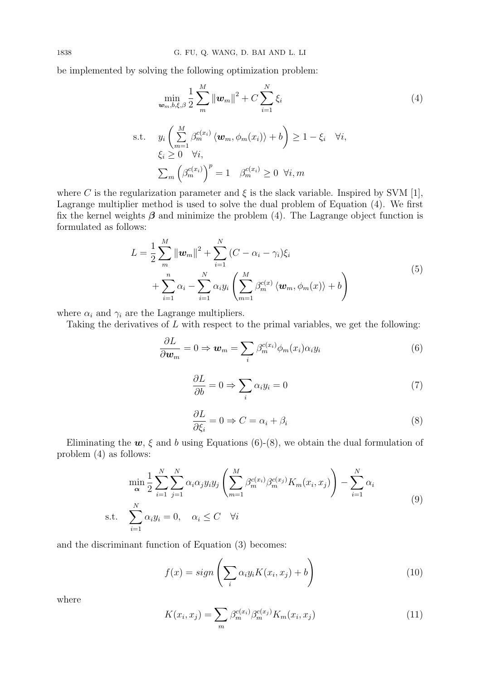be implemented by solving the following optimization problem:

$$
\min_{\mathbf{w}_m, b, \xi, \beta} \frac{1}{2} \sum_{m}^{M} \|\mathbf{w}_m\|^2 + C \sum_{i=1}^{N} \xi_i
$$
\ns.t. 
$$
y_i \left( \sum_{m=1}^{M} \beta_m^{c(x_i)} \langle \mathbf{w}_m, \phi_m(x_i) \rangle + b \right) \ge 1 - \xi_i \quad \forall i,
$$
\n
$$
\xi_i \ge 0 \quad \forall i,
$$
\n
$$
\sum_m \left( \beta_m^{c(x_i)} \right)^p = 1 \quad \beta_m^{c(x_i)} \ge 0 \quad \forall i, m
$$
\n(4)

where *C* is the regularization parameter and  $\xi$  is the slack variable. Inspired by SVM [1], Lagrange multiplier method is used to solve the dual problem of Equation (4). We first fix the kernel weights  $\beta$  and minimize the problem (4). The Lagrange object function is formulated as follows:

$$
L = \frac{1}{2} \sum_{m}^{M} ||\boldsymbol{w}_{m}||^{2} + \sum_{i=1}^{N} (C - \alpha_{i} - \gamma_{i}) \xi_{i}
$$
  
+ 
$$
\sum_{i=1}^{n} \alpha_{i} - \sum_{i=1}^{N} \alpha_{i} y_{i} \left( \sum_{m=1}^{M} \beta_{m}^{c(x)} \langle \boldsymbol{w}_{m}, \phi_{m}(x) \rangle + b \right)
$$
(5)

where  $\alpha_i$  and  $\gamma_i$  are the Lagrange multipliers.

Taking the derivatives of *L* with respect to the primal variables, we get the following:

$$
\frac{\partial L}{\partial \boldsymbol{w}_m} = 0 \Rightarrow \boldsymbol{w}_m = \sum_i \beta_m^{c(x_i)} \phi_m(x_i) \alpha_i y_i \tag{6}
$$

$$
\frac{\partial L}{\partial b} = 0 \Rightarrow \sum_{i} \alpha_i y_i = 0 \tag{7}
$$

$$
\frac{\partial L}{\partial \xi_i} = 0 \Rightarrow C = \alpha_i + \beta_i \tag{8}
$$

Eliminating the  $w, \xi$  and *b* using Equations (6)-(8), we obtain the dual formulation of problem (4) as follows:

$$
\min_{\alpha} \frac{1}{2} \sum_{i=1}^{N} \sum_{j=1}^{N} \alpha_i \alpha_j y_i y_j \left( \sum_{m=1}^{M} \beta_m^{c(x_i)} \beta_m^{c(x_j)} K_m(x_i, x_j) \right) - \sum_{i=1}^{N} \alpha_i
$$
\ns.t. 
$$
\sum_{i=1}^{N} \alpha_i y_i = 0, \quad \alpha_i \le C \quad \forall i
$$
\n(9)

and the discriminant function of Equation (3) becomes:

$$
f(x) = sign\left(\sum_{i} \alpha_i y_i K(x_i, x_j) + b\right)
$$
\n(10)

where

$$
K(x_i, x_j) = \sum_{m} \beta_m^{c(x_i)} \beta_m^{c(x_j)} K_m(x_i, x_j)
$$
 (11)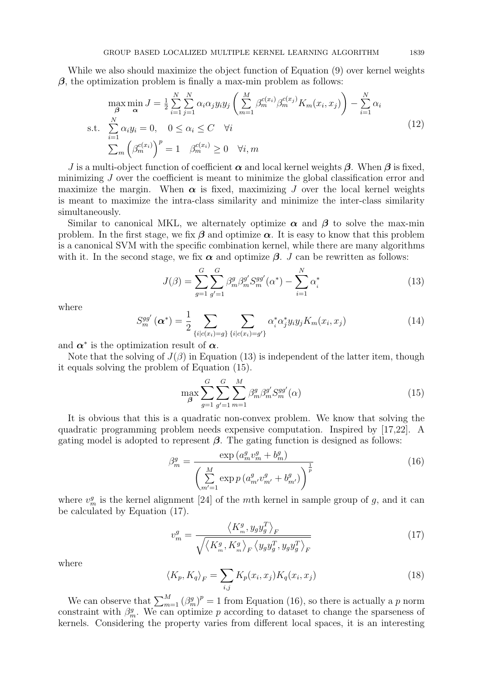While we also should maximize the object function of Equation (9) over kernel weights *β*, the optimization problem is finally a max-min problem as follows:

$$
\max_{\beta} \min_{\alpha} J = \frac{1}{2} \sum_{i=1}^{N} \sum_{j=1}^{N} \alpha_i \alpha_j y_i y_j \left( \sum_{m=1}^{M} \beta_m^{c(x_i)} \beta_m^{c(x_j)} K_m(x_i, x_j) \right) - \sum_{i=1}^{N} \alpha_i
$$
  
s.t. 
$$
\sum_{i=1}^{N} \alpha_i y_i = 0, \quad 0 \le \alpha_i \le C \quad \forall i
$$

$$
\sum_{m} \left( \beta_m^{c(x_i)} \right)^p = 1 \quad \beta_m^{c(x_i)} \ge 0 \quad \forall i, m
$$
\n(12)

*J* is a multi-object function of coefficient  $\alpha$  and local kernel weights  $\beta$ . When  $\beta$  is fixed, minimizing *J* over the coefficient is meant to minimize the global classification error and maximize the margin. When  $\alpha$  is fixed, maximizing *J* over the local kernel weights is meant to maximize the intra-class similarity and minimize the inter-class similarity simultaneously.

Similar to canonical MKL, we alternately optimize  $\alpha$  and  $\beta$  to solve the max-min problem. In the first stage, we fix  $\beta$  and optimize  $\alpha$ . It is easy to know that this problem is a canonical SVM with the specific combination kernel, while there are many algorithms with it. In the second stage, we fix  $\alpha$  and optimize  $\beta$ . *J* can be rewritten as follows:

$$
J(\beta) = \sum_{g=1}^{G} \sum_{g'=1}^{G} \beta_m^g \beta_m^{g'} S_m^{gg'}(\alpha^*) - \sum_{i=1}^{N} \alpha_i^*
$$
 (13)

where

$$
S_m^{gg'}\left(\alpha^*\right) = \frac{1}{2} \sum_{\{i \mid c(x_i) = g\}} \sum_{\{i \mid c(x_i) = g'\}} \alpha_i^* \alpha_j^* y_i y_j K_m(x_i, x_j) \tag{14}
$$

and  $\alpha^*$  is the optimization result of  $\alpha$ .

Note that the solving of  $J(\beta)$  in Equation (13) is independent of the latter item, though it equals solving the problem of Equation (15).

$$
\max_{\beta} \sum_{g=1}^{G} \sum_{g'=1}^{G} \sum_{m=1}^{M} \beta_m^g \beta_m^{g'} S_m^{gg'}(\alpha) \tag{15}
$$

It is obvious that this is a quadratic non-convex problem. We know that solving the quadratic programming problem needs expensive computation. Inspired by [17,22]. A gating model is adopted to represent  $\beta$ . The gating function is designed as follows:

$$
\beta_m^g = \frac{\exp\left(a_m^g v_m^g + b_m^g\right)}{\left(\sum_{m'=1}^M \exp\left(a_{m'}^g v_{m'}^g + b_{m'}^g\right)\right)^{\frac{1}{p}}}
$$
(16)

where  $v_m^g$  is the kernel alignment [24] of the *m*th kernel in sample group of *g*, and it can be calculated by Equation (17).

$$
v_m^g = \frac{\langle K_m^g, y_g y_g^T \rangle_F}{\sqrt{\langle K_m^g, K_m^g \rangle_F \langle y_g y_g^T, y_g y_g^T \rangle_F}}
$$
(17)

where

$$
\langle K_p, K_q \rangle_F = \sum_{i,j} K_p(x_i, x_j) K_q(x_i, x_j) \tag{18}
$$

We can observe that  $\sum_{m=1}^{M} (\beta_m^g)^p = 1$  from Equation (16), so there is actually a *p* norm constraint with  $\beta_m^g$ . We can optimize *p* according to dataset to change the sparseness of kernels. Considering the property varies from different local spaces, it is an interesting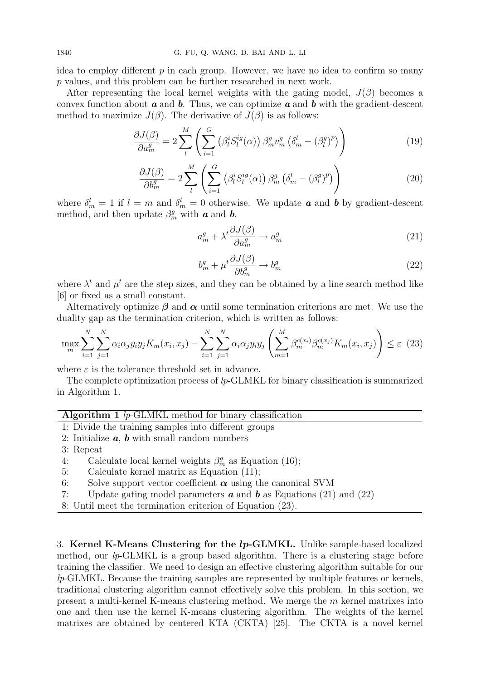idea to employ different *p* in each group. However, we have no idea to confirm so many *p* values, and this problem can be further researched in next work.

After representing the local kernel weights with the gating model,  $J(\beta)$  becomes a convex function about *a* and *b*. Thus, we can optimize *a* and *b* with the gradient-descent method to maximize  $J(\beta)$ . The derivative of  $J(\beta)$  is as follows:

$$
\frac{\partial J(\beta)}{\partial a_m^g} = 2 \sum_{l}^{M} \left( \sum_{i=1}^{G} \left( \beta_l^i S_l^{ig}(\alpha) \right) \beta_m^g v_m^g \left( \delta_m^l - \left( \beta_l^g \right)^p \right) \right) \tag{19}
$$

$$
\frac{\partial J(\beta)}{\partial b_m^g} = 2 \sum_{l}^{M} \left( \sum_{i=1}^{G} \left( \beta_l^i S_l^{ig}(\alpha) \right) \beta_m^g \left( \delta_m^l - \left( \beta_l^g \right)^p \right) \right) \tag{20}
$$

where  $\delta_m^l = 1$  if  $l = m$  and  $\delta_m^l = 0$  otherwise. We update **a** and **b** by gradient-descent method, and then update  $\beta_m^g$  with **a** and **b**.

$$
a_m^g + \lambda^t \frac{\partial J(\beta)}{\partial a_m^g} \to a_m^g \tag{21}
$$

$$
b_m^g + \mu^t \frac{\partial J(\beta)}{\partial b_m^g} \to b_m^g \tag{22}
$$

where  $\lambda^t$  and  $\mu^t$  are the step sizes, and they can be obtained by a line search method like [6] or fixed as a small constant.

Alternatively optimize  $\beta$  and  $\alpha$  until some termination criterions are met. We use the duality gap as the termination criterion, which is written as follows:

$$
\max_{m} \sum_{i=1}^{N} \sum_{j=1}^{N} \alpha_i \alpha_j y_i y_j K_m(x_i, x_j) - \sum_{i=1}^{N} \sum_{j=1}^{N} \alpha_i \alpha_j y_i y_j \left( \sum_{m=1}^{M} \beta_m^{c(x_i)} \beta_m^{c(x_j)} K_m(x_i, x_j) \right) \le \varepsilon
$$
 (23)

where  $\varepsilon$  is the tolerance threshold set in advance.

The complete optimization process of *lp*-GLMKL for binary classification is summarized in Algorithm 1.

## **Algorithm 1** *lp*-GLMKL method for binary classification

- 1: Divide the training samples into different groups
- 2: Initialize *a*, *b* with small random numbers
- 3: Repeat
- 4: Calculate local kernel weights  $\beta_m^g$  as Equation (16);
- 5: Calculate kernel matrix as Equation (11);
- 6: Solve support vector coefficient  $\alpha$  using the canonical SVM
- 7: Update gating model parameters *a* and *b* as Equations (21) and (22)

8: Until meet the termination criterion of Equation (23).

3. **Kernel K-Means Clustering for the** *lp***-GLMKL.** Unlike sample-based localized method, our *lp*-GLMKL is a group based algorithm. There is a clustering stage before training the classifier. We need to design an effective clustering algorithm suitable for our *lp*-GLMKL. Because the training samples are represented by multiple features or kernels, traditional clustering algorithm cannot effectively solve this problem. In this section, we present a multi-kernel K-means clustering method. We merge the *m* kernel matrixes into one and then use the kernel K-means clustering algorithm. The weights of the kernel matrixes are obtained by centered KTA (CKTA) [25]. The CKTA is a novel kernel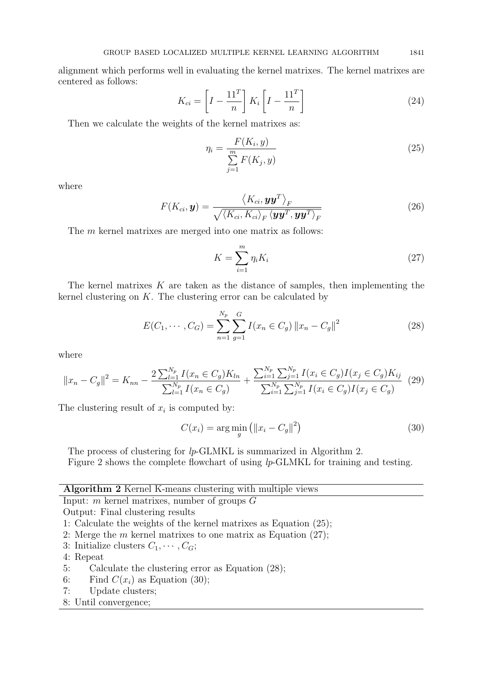alignment which performs well in evaluating the kernel matrixes. The kernel matrixes are centered as follows:

$$
K_{ci} = \left[ I - \frac{11^T}{n} \right] K_i \left[ I - \frac{11^T}{n} \right]
$$
 (24)

Then we calculate the weights of the kernel matrixes as:

$$
\eta_i = \frac{F(K_i, y)}{\sum_{j=1}^{m} F(K_j, y)}
$$
\n(25)

where

$$
F(K_{ci}, \mathbf{y}) = \frac{\langle K_{ci}, \mathbf{y}\mathbf{y}^T \rangle_F}{\sqrt{\langle K_{ci}, K_{ci} \rangle_F \langle \mathbf{y}\mathbf{y}^T, \mathbf{y}\mathbf{y}^T \rangle_F}}
$$
(26)

The *m* kernel matrixes are merged into one matrix as follows:

$$
K = \sum_{i=1}^{m} \eta_i K_i \tag{27}
$$

The kernel matrixes *K* are taken as the distance of samples, then implementing the kernel clustering on *K*. The clustering error can be calculated by

$$
E(C_1, \cdots, C_G) = \sum_{n=1}^{N_p} \sum_{g=1}^{G} I(x_n \in C_g) \|x_n - C_g\|^2
$$
 (28)

where

$$
||x_n - C_g||^2 = K_{nn} - \frac{2\sum_{l=1}^{N_p} I(x_n \in C_g)K_{ln}}{\sum_{l=1}^{N_p} I(x_n \in C_g)} + \frac{\sum_{i=1}^{N_p} \sum_{j=1}^{N_p} I(x_i \in C_g)I(x_j \in C_g)K_{ij}}{\sum_{i=1}^{N_p} \sum_{j=1}^{N_p} I(x_i \in C_g)I(x_j \in C_g)}
$$
(29)

The clustering result of  $x_i$  is computed by:

$$
C(x_i) = \arg\min_{g} \left( \|x_i - C_g\|^2 \right) \tag{30}
$$

The process of clustering for *lp*-GLMKL is summarized in Algorithm 2. Figure 2 shows the complete flowchart of using *lp*-GLMKL for training and testing.

|  |  | Algorithm 2 Kernel K-means clustering with multiple views |  |
|--|--|-----------------------------------------------------------|--|
|  |  |                                                           |  |

Input: *m* kernel matrixes, number of groups *G*

Output: Final clustering results

- 1: Calculate the weights of the kernel matrixes as Equation (25);
- 2: Merge the *m* kernel matrixes to one matrix as Equation (27);
- 3: Initialize clusters  $C_1, \cdots, C_G$ ;
- 4: Repeat
- 5: Calculate the clustering error as Equation (28);
- 6: Find  $C(x_i)$  as Equation (30);
- 7: Update clusters;
- 8: Until convergence;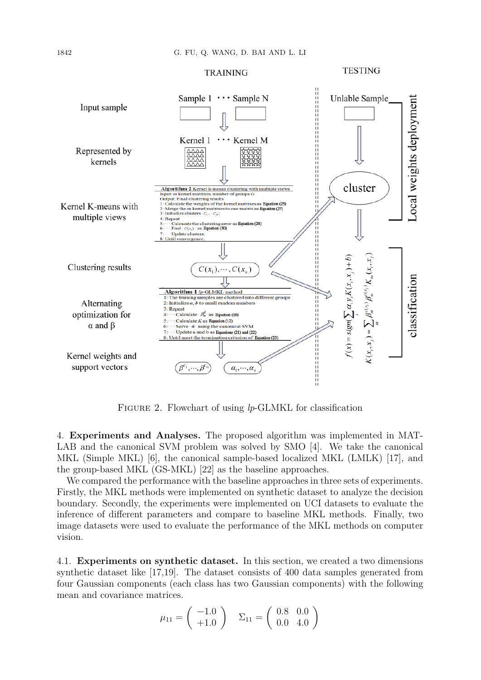

FIGURE 2. Flowchart of using *lp*-GLMKL for classification

4. **Experiments and Analyses.** The proposed algorithm was implemented in MAT-LAB and the canonical SVM problem was solved by SMO [4]. We take the canonical MKL (Simple MKL) [6], the canonical sample-based localized MKL (LMLK) [17], and the group-based MKL (GS-MKL) [22] as the baseline approaches.

We compared the performance with the baseline approaches in three sets of experiments. Firstly, the MKL methods were implemented on synthetic dataset to analyze the decision boundary. Secondly, the experiments were implemented on UCI datasets to evaluate the inference of different parameters and compare to baseline MKL methods. Finally, two image datasets were used to evaluate the performance of the MKL methods on computer vision.

4.1. **Experiments on synthetic dataset.** In this section, we created a two dimensions synthetic dataset like [17,19]. The dataset consists of 400 data samples generated from four Gaussian components (each class has two Gaussian components) with the following mean and covariance matrices.

$$
\mu_{11} = \begin{pmatrix} -1.0 \\ +1.0 \end{pmatrix} \quad \Sigma_{11} = \begin{pmatrix} 0.8 & 0.0 \\ 0.0 & 4.0 \end{pmatrix}
$$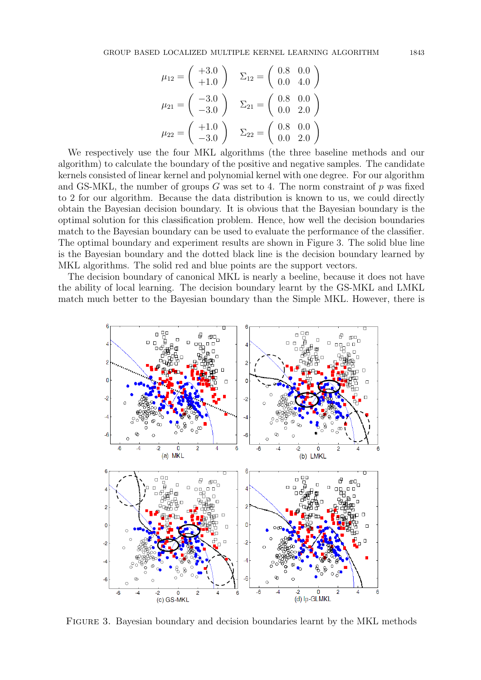$$
\mu_{12} = \begin{pmatrix} +3.0 \\ +1.0 \end{pmatrix} \quad \Sigma_{12} = \begin{pmatrix} 0.8 & 0.0 \\ 0.0 & 4.0 \end{pmatrix}
$$

$$
\mu_{21} = \begin{pmatrix} -3.0 \\ -3.0 \end{pmatrix} \quad \Sigma_{21} = \begin{pmatrix} 0.8 & 0.0 \\ 0.0 & 2.0 \end{pmatrix}
$$

$$
\mu_{22} = \begin{pmatrix} +1.0 \\ -3.0 \end{pmatrix} \quad \Sigma_{22} = \begin{pmatrix} 0.8 & 0.0 \\ 0.0 & 2.0 \end{pmatrix}
$$

We respectively use the four MKL algorithms (the three baseline methods and our algorithm) to calculate the boundary of the positive and negative samples. The candidate kernels consisted of linear kernel and polynomial kernel with one degree. For our algorithm and GS-MKL, the number of groups *G* was set to 4. The norm constraint of *p* was fixed to 2 for our algorithm. Because the data distribution is known to us, we could directly obtain the Bayesian decision boundary. It is obvious that the Bayesian boundary is the optimal solution for this classification problem. Hence, how well the decision boundaries match to the Bayesian boundary can be used to evaluate the performance of the classifier. The optimal boundary and experiment results are shown in Figure 3. The solid blue line is the Bayesian boundary and the dotted black line is the decision boundary learned by MKL algorithms. The solid red and blue points are the support vectors.

The decision boundary of canonical MKL is nearly a beeline, because it does not have the ability of local learning. The decision boundary learnt by the GS-MKL and LMKL match much better to the Bayesian boundary than the Simple MKL. However, there is



Figure 3. Bayesian boundary and decision boundaries learnt by the MKL methods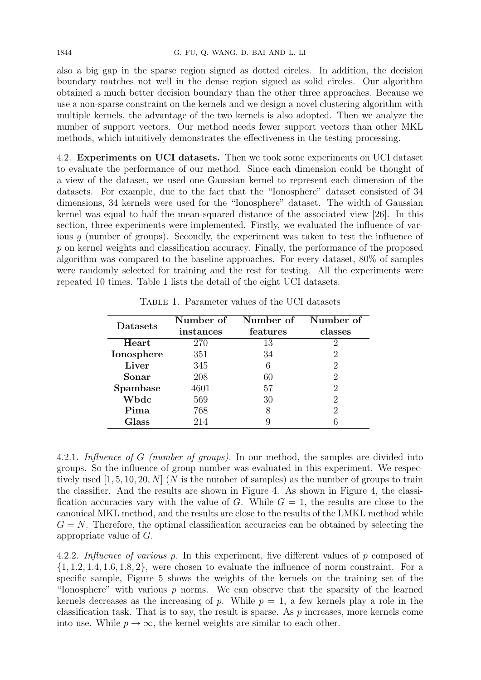also a big gap in the sparse region signed as dotted circles. In addition, the decision boundary matches not well in the dense region signed as solid circles. Our algorithm obtained a much better decision boundary than the other three approaches. Because we use a non-sparse constraint on the kernels and we design a novel clustering algorithm with multiple kernels, the advantage of the two kernels is also adopted. Then we analyze the number of support vectors. Our method needs fewer support vectors than other MKL methods, which intuitively demonstrates the effectiveness in the testing processing.

4.2. **Experiments on UCI datasets.** Then we took some experiments on UCI dataset to evaluate the performance of our method. Since each dimension could be thought of a view of the dataset, we used one Gaussian kernel to represent each dimension of the datasets. For example, due to the fact that the "Ionosphere" dataset consisted of 34 dimensions, 34 kernels were used for the "Ionosphere" dataset. The width of Gaussian kernel was equal to half the mean-squared distance of the associated view [26]. In this section, three experiments were implemented. Firstly, we evaluated the influence of various *g* (number of groups). Secondly, the experiment was taken to test the influence of *p* on kernel weights and classification accuracy. Finally, the performance of the proposed algorithm was compared to the baseline approaches. For every dataset, 80% of samples were randomly selected for training and the rest for testing. All the experiments were repeated 10 times. Table 1 lists the detail of the eight UCI datasets.

| Datasets   | Number of<br>instances | Number of<br>features | Number of<br>classes |  |
|------------|------------------------|-----------------------|----------------------|--|
| Heart      | 270                    | 13                    | $\mathcal{D}$        |  |
| Ionosphere | 351                    | 34                    | $\overline{2}$       |  |
| Liver      | 345                    | 6                     | $\overline{2}$       |  |
| Sonar      | 208                    | 60                    | 2                    |  |
| Spambase   | 4601                   | 57                    | 2                    |  |
| Wbdc       | 569                    | 30                    | 2                    |  |
| Pima       | 768                    | 8                     | 2                    |  |
| Glass      | 214                    |                       |                      |  |

Table 1. Parameter values of the UCI datasets

4.2.1. *Influence of G (number of groups).* In our method, the samples are divided into groups. So the influence of group number was evaluated in this experiment. We respectively used [1*,* 5*,* 10*,* 20*, N*] (*N* is the number of samples) as the number of groups to train the classifier. And the results are shown in Figure 4. As shown in Figure 4, the classification accuracies vary with the value of *G*. While  $G = 1$ , the results are close to the canonical MKL method, and the results are close to the results of the LMKL method while  $G = N$ . Therefore, the optimal classification accuracies can be obtained by selecting the appropriate value of *G*.

4.2.2. *Influence of various p.* In this experiment, five different values of *p* composed of *{*1*,* 1*.*2*,* 1*.*4*,* 1*.*6*,* 1*.*8*,* 2*}*, were chosen to evaluate the influence of norm constraint. For a specific sample, Figure 5 shows the weights of the kernels on the training set of the "Ionosphere" with various *p* norms. We can observe that the sparsity of the learned kernels decreases as the increasing of  $p$ . While  $p = 1$ , a few kernels play a role in the classification task. That is to say, the result is sparse. As *p* increases, more kernels come into use. While  $p \to \infty$ , the kernel weights are similar to each other.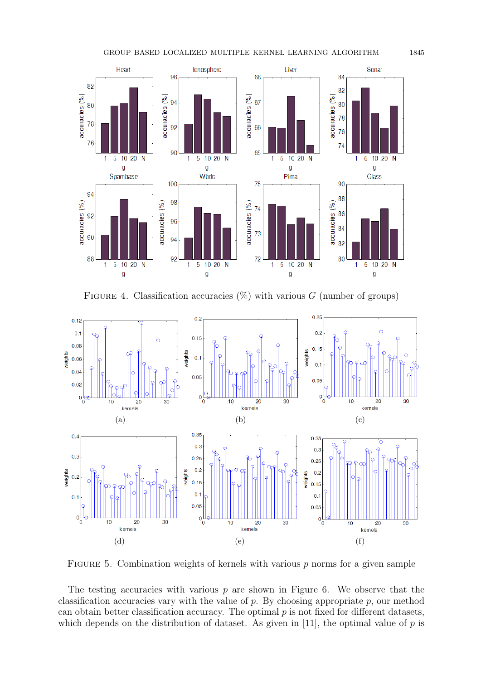

FIGURE 4. Classification accuracies  $(\%)$  with various *G* (number of groups)



Figure 5. Combination weights of kernels with various *p* norms for a given sample

The testing accuracies with various *p* are shown in Figure 6. We observe that the classification accuracies vary with the value of *p*. By choosing appropriate *p*, our method can obtain better classification accuracy. The optimal *p* is not fixed for different datasets, which depends on the distribution of dataset. As given in [11], the optimal value of *p* is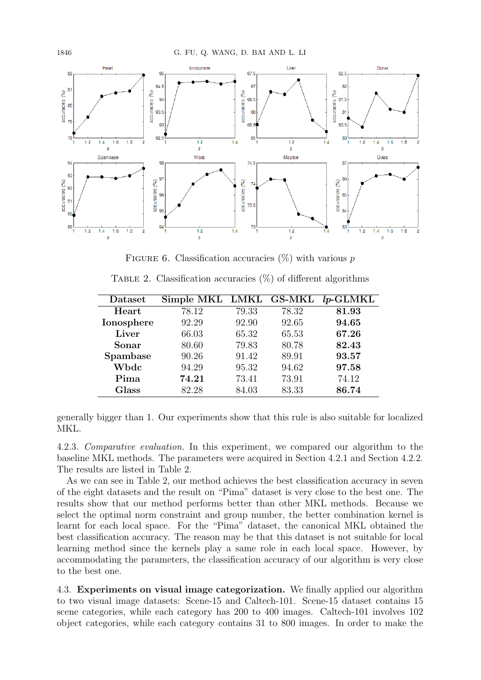

Figure 6. Classification accuracies (%) with various *p*

| Dataset    | Simple MKL LMKL GS-MKL |       |       | $lp$ -GLMKL |
|------------|------------------------|-------|-------|-------------|
| Heart      | 78.12                  | 79.33 | 78.32 | 81.93       |
| Ionosphere | 92.29                  | 92.90 | 92.65 | 94.65       |
| Liver      | 66.03                  | 65.32 | 65.53 | 67.26       |
| Sonar      | 80.60                  | 79.83 | 80.78 | 82.43       |
| Spambase   | 90.26                  | 91.42 | 89.91 | 93.57       |
| Wbdc       | 94.29                  | 95.32 | 94.62 | 97.58       |
| Pima       | 74.21                  | 73.41 | 73.91 | 74.12       |
| Glass      | 82.28                  | 84.03 | 83.33 | 86.74       |

TABLE 2. Classification accuracies  $(\%)$  of different algorithms

generally bigger than 1. Our experiments show that this rule is also suitable for localized MKL.

4.2.3. *Comparative evaluation.* In this experiment, we compared our algorithm to the baseline MKL methods. The parameters were acquired in Section 4.2.1 and Section 4.2.2. The results are listed in Table 2.

As we can see in Table 2, our method achieves the best classification accuracy in seven of the eight datasets and the result on "Pima" dataset is very close to the best one. The results show that our method performs better than other MKL methods. Because we select the optimal norm constraint and group number, the better combination kernel is learnt for each local space. For the "Pima" dataset, the canonical MKL obtained the best classification accuracy. The reason may be that this dataset is not suitable for local learning method since the kernels play a same role in each local space. However, by accommodating the parameters, the classification accuracy of our algorithm is very close to the best one.

4.3. **Experiments on visual image categorization.** We finally applied our algorithm to two visual image datasets: Scene-15 and Caltech-101. Scene-15 dataset contains 15 scene categories, while each category has 200 to 400 images. Caltech-101 involves 102 object categories, while each category contains 31 to 800 images. In order to make the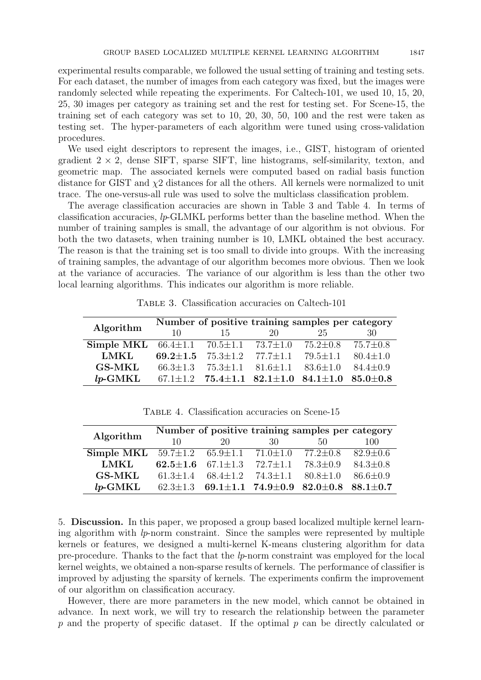experimental results comparable, we followed the usual setting of training and testing sets. For each dataset, the number of images from each category was fixed, but the images were randomly selected while repeating the experiments. For Caltech-101, we used 10, 15, 20, 25, 30 images per category as training set and the rest for testing set. For Scene-15, the training set of each category was set to 10, 20, 30, 50, 100 and the rest were taken as testing set. The hyper-parameters of each algorithm were tuned using cross-validation procedures.

We used eight descriptors to represent the images, i.e., GIST, histogram of oriented gradient  $2 \times 2$ , dense SIFT, sparse SIFT, line histograms, self-similarity, texton, and geometric map. The associated kernels were computed based on radial basis function distance for GIST and *χ*2 distances for all the others. All kernels were normalized to unit trace. The one-versus-all rule was used to solve the multiclass classification problem.

The average classification accuracies are shown in Table 3 and Table 4. In terms of classification accuracies, *lp*-GLMKL performs better than the baseline method. When the number of training samples is small, the advantage of our algorithm is not obvious. For both the two datasets, when training number is 10, LMKL obtained the best accuracy. The reason is that the training set is too small to divide into groups. With the increasing of training samples, the advantage of our algorithm becomes more obvious. Then we look at the variance of accuracies. The variance of our algorithm is less than the other two local learning algorithms. This indicates our algorithm is more reliable.

|                                                                                              |     |                                                             |     | Number of positive training samples per category                           |                |
|----------------------------------------------------------------------------------------------|-----|-------------------------------------------------------------|-----|----------------------------------------------------------------------------|----------------|
| Algorithm                                                                                    | 10. | 15                                                          | -20 | 25                                                                         | 30             |
| <b>Simple MKL</b> $66.4 \pm 1.1$ $70.5 \pm 1.1$ $73.7 \pm 1.0$ $75.2 \pm 0.8$ $75.7 \pm 0.8$ |     |                                                             |     |                                                                            |                |
| LMKL                                                                                         |     | 69.2 $\pm$ 1.5 75.3 $\pm$ 1.2 77.7 $\pm$ 1.1 79.5 $\pm$ 1.1 |     |                                                                            | $80.4 \pm 1.0$ |
| <b>GS-MKL</b>                                                                                |     |                                                             |     | $66.3 \pm 1.3$ $75.3 \pm 1.1$ $81.6 \pm 1.1$ $83.6 \pm 1.0$ $84.4 \pm 0.9$ |                |
| $lp$ -GMKL                                                                                   |     |                                                             |     | $67.1 \pm 1.2$ $75.4 \pm 1.1$ $82.1 \pm 1.0$ $84.1 \pm 1.0$ $85.0 \pm 0.8$ |                |

Table 3. Classification accuracies on Caltech-101

| TABLE 4. Classification accuracies on Scene-15 |  |  |  |  |  |  |
|------------------------------------------------|--|--|--|--|--|--|
|------------------------------------------------|--|--|--|--|--|--|

|                                                                | Number of positive training samples per category |                                              |     |                                                                            |                |  |
|----------------------------------------------------------------|--------------------------------------------------|----------------------------------------------|-----|----------------------------------------------------------------------------|----------------|--|
| Algorithm                                                      | 10                                               | 20                                           | -30 | 50                                                                         | 100            |  |
| <b>Simple MKL</b> $59.7 \pm 1.2$ $65.9 \pm 1.1$ $71.0 \pm 1.0$ |                                                  |                                              |     | $77.2 \pm 0.8$                                                             | $82.9 \pm 0.6$ |  |
| LMKL                                                           |                                                  | 62.5 $\pm$ 1.6 67.1 $\pm$ 1.3 72.7 $\pm$ 1.1 |     | $78.3 \pm 0.9$                                                             | $84.3 \pm 0.8$ |  |
| <b>GS-MKL</b>                                                  |                                                  | $61.3 \pm 1.4$ $68.4 \pm 1.2$ $74.3 \pm 1.1$ |     | $80.8 \pm 1.0$                                                             | $86.6 \pm 0.9$ |  |
| $lp$ -GMKL                                                     |                                                  |                                              |     | $62.3 \pm 1.3$ $69.1 \pm 1.1$ $74.9 \pm 0.9$ $82.0 \pm 0.8$ $88.1 \pm 0.7$ |                |  |

5. **Discussion.** In this paper, we proposed a group based localized multiple kernel learning algorithm with *lp*-norm constraint. Since the samples were represented by multiple kernels or features, we designed a multi-kernel K-means clustering algorithm for data pre-procedure. Thanks to the fact that the *lp*-norm constraint was employed for the local kernel weights, we obtained a non-sparse results of kernels. The performance of classifier is improved by adjusting the sparsity of kernels. The experiments confirm the improvement of our algorithm on classification accuracy.

However, there are more parameters in the new model, which cannot be obtained in advance. In next work, we will try to research the relationship between the parameter *p* and the property of specific dataset. If the optimal *p* can be directly calculated or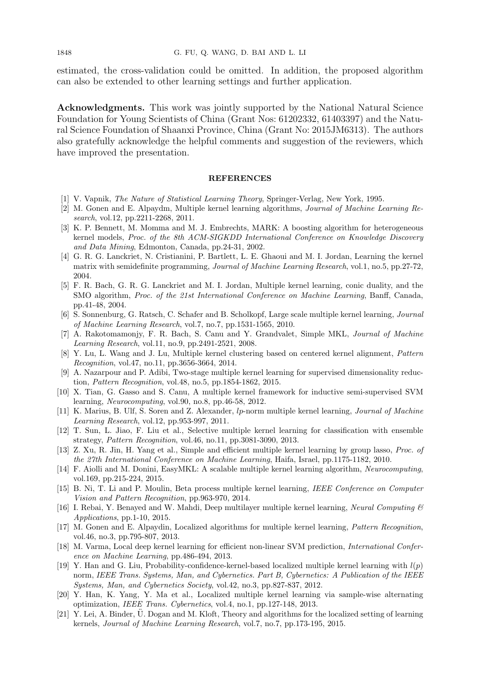1848 G. FU, Q. WANG, D. BAI AND L. LI

estimated, the cross-validation could be omitted. In addition, the proposed algorithm can also be extended to other learning settings and further application.

**Acknowledgments.** This work was jointly supported by the National Natural Science Foundation for Young Scientists of China (Grant Nos: 61202332, 61403397) and the Natural Science Foundation of Shaanxi Province, China (Grant No: 2015JM6313). The authors also gratefully acknowledge the helpful comments and suggestion of the reviewers, which have improved the presentation.

## **REFERENCES**

- [1] V. Vapnik, *The Nature of Statistical Learning Theory*, Springer-Verlag, New York, 1995.
- [2] M. Gonen and E. Alpaydm, Multiple kernel learning algorithms, *Journal of Machine Learning Research*, vol.12, pp.2211-2268, 2011.
- [3] K. P. Bennett, M. Momma and M. J. Embrechts, MARK: A boosting algorithm for heterogeneous kernel models, *Proc. of the 8th ACM-SIGKDD International Conference on Knowledge Discovery and Data Mining*, Edmonton, Canada, pp.24-31, 2002.
- [4] G. R. G. Lanckriet, N. Cristianini, P. Bartlett, L. E. Ghaoui and M. I. Jordan, Learning the kernel matrix with semidefinite programming, *Journal of Machine Learning Research*, vol.1, no.5, pp.27-72, 2004.
- [5] F. R. Bach, G. R. G. Lanckriet and M. I. Jordan, Multiple kernel learning, conic duality, and the SMO algorithm, *Proc. of the 21st International Conference on Machine Learning*, Banff, Canada, pp.41-48, 2004.
- [6] S. Sonnenburg, G. Ratsch, C. Schafer and B. Scholkopf, Large scale multiple kernel learning, *Journal of Machine Learning Research*, vol.7, no.7, pp.1531-1565, 2010.
- [7] A. Rakotomamonjy, F. R. Bach, S. Canu and Y. Grandvalet, Simple MKL, *Journal of Machine Learning Research*, vol.11, no.9, pp.2491-2521, 2008.
- [8] Y. Lu, L. Wang and J. Lu, Multiple kernel clustering based on centered kernel alignment, *Pattern Recognition*, vol.47, no.11, pp.3656-3664, 2014.
- [9] A. Nazarpour and P. Adibi, Two-stage multiple kernel learning for supervised dimensionality reduction, *Pattern Recognition*, vol.48, no.5, pp.1854-1862, 2015.
- [10] X. Tian, G. Gasso and S. Canu, A multiple kernel framework for inductive semi-supervised SVM learning, *Neurocomputing*, vol.90, no.8, pp.46-58, 2012.
- [11] K. Marius, B. Ulf, S. Soren and Z. Alexander, *lp*-norm multiple kernel learning, *Journal of Machine Learning Research*, vol.12, pp.953-997, 2011.
- [12] T. Sun, L. Jiao, F. Liu et al., Selective multiple kernel learning for classification with ensemble strategy, *Pattern Recognition*, vol.46, no.11, pp.3081-3090, 2013.
- [13] Z. Xu, R. Jin, H. Yang et al., Simple and efficient multiple kernel learning by group lasso, *Proc. of the 27th International Conference on Machine Learning*, Haifa, Israel, pp.1175-1182, 2010.
- [14] F. Aiolli and M. Donini, EasyMKL: A scalable multiple kernel learning algorithm, *Neurocomputing*, vol.169, pp.215-224, 2015.
- [15] B. Ni, T. Li and P. Moulin, Beta process multiple kernel learning, *IEEE Conference on Computer Vision and Pattern Recognition*, pp.963-970, 2014.
- [16] I. Rebai, Y. Benayed and W. Mahdi, Deep multilayer multiple kernel learning, *Neural Computing & Applications*, pp.1-10, 2015.
- [17] M. Gonen and E. Alpaydin, Localized algorithms for multiple kernel learning, *Pattern Recognition*, vol.46, no.3, pp.795-807, 2013.
- [18] M. Varma, Local deep kernel learning for efficient non-linear SVM prediction, *International Conference on Machine Learning*, pp.486-494, 2013.
- [19] Y. Han and G. Liu, Probability-confidence-kernel-based localized multiple kernel learning with *l*(*p*) norm, *IEEE Trans. Systems, Man, and Cybernetics. Part B, Cybernetics: A Publication of the IEEE Systems, Man, and Cybernetics Society*, vol.42, no.3, pp.827-837, 2012.
- [20] Y. Han, K. Yang, Y. Ma et al., Localized multiple kernel learning via sample-wise alternating optimization, *IEEE Trans. Cybernetics*, vol.4, no.1, pp.127-148, 2013.
- [21] Y. Lei, A. Binder, U. Dogan and M. Kloft, Theory and algorithms for the localized setting of learning kernels, *Journal of Machine Learning Research*, vol.7, no.7, pp.173-195, 2015.